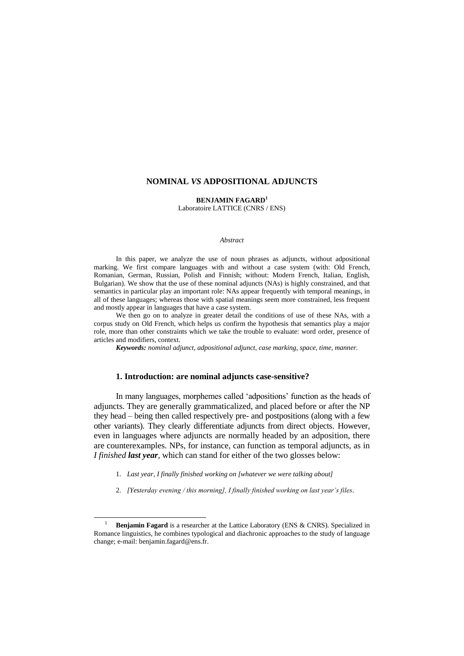## **NOMINAL** *VS* **ADPOSITIONAL ADJUNCTS**

**BENJAMIN FAGARD<sup>1</sup>** Laboratoire LATTICE (CNRS / ENS)

#### *Abstract*

In this paper, we analyze the use of noun phrases as adjuncts, without adpositional marking. We first compare languages with and without a case system (with: Old French, Romanian, German, Russian, Polish and Finnish; without: Modern French, Italian, English, Bulgarian). We show that the use of these nominal adjuncts (NAs) is highly constrained, and that semantics in particular play an important role: NAs appear frequently with temporal meanings, in all of these languages; whereas those with spatial meanings seem more constrained, less frequent and mostly appear in languages that have a case system.

We then go on to analyze in greater detail the conditions of use of these NAs, with a corpus study on Old French, which helps us confirm the hypothesis that semantics play a major role, more than other constraints which we take the trouble to evaluate: word order, presence of articles and modifiers, context.

*Keywords: nominal adjunct, adpositional adjunct, case marking, space, time, manner.*

## **1. Introduction: are nominal adjuncts case-sensitive?**

In many languages, morphemes called "adpositions" function as the heads of adjuncts. They are generally grammaticalized, and placed before or after the NP they head – being then called respectively pre- and postpositions (along with a few other variants). They clearly differentiate adjuncts from direct objects. However, even in languages where adjuncts are normally headed by an adposition, there are counterexamples. NPs, for instance, can function as temporal adjuncts, as in *I finished last year*, which can stand for either of the two glosses below:

1. *Last year, I finally finished working on [whatever we were talking about]*

 $\overline{a}$ 

2. *[Yesterday evening / this morning], I finally finished working on last year"s files.*

**Benjamin Fagard** is a researcher at the Lattice Laboratory (ENS & CNRS). Specialized in Romance linguistics, he combines typological and diachronic approaches to the study of language change; e-mail[: benjamin.fagard@ens.fr.](mailto:benjamin.fagard@ens.fr)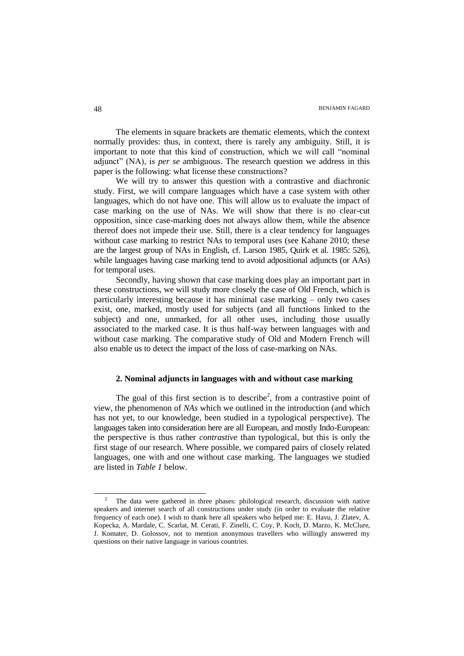The elements in square brackets are thematic elements, which the context normally provides: thus, in context, there is rarely any ambiguity. Still, it is important to note that this kind of construction, which we will call "nominal adjunct" (NA), is *per se* ambiguous. The research question we address in this paper is the following: what license these constructions?

We will try to answer this question with a contrastive and diachronic study. First, we will compare languages which have a case system with other languages, which do not have one. This will allow us to evaluate the impact of case marking on the use of NAs. We will show that there is no clear-cut opposition, since case-marking does not always allow them, while the absence thereof does not impede their use. Still, there is a clear tendency for languages without case marking to restrict NAs to temporal uses (see Kahane 2010; these are the largest group of NAs in English, cf. Larson 1985, Quirk et al. 1985: 526), while languages having case marking tend to avoid adpositional adjuncts (or AAs) for temporal uses.

Secondly, having shown that case marking does play an important part in these constructions, we will study more closely the case of Old French, which is particularly interesting because it has minimal case marking – only two cases exist, one, marked, mostly used for subjects (and all functions linked to the subject) and one, unmarked, for all other uses, including those usually associated to the marked case. It is thus half-way between languages with and without case marking. The comparative study of Old and Modern French will also enable us to detect the impact of the loss of case-marking on NAs.

# **2. Nominal adjuncts in languages with and without case marking**

The goal of this first section is to describe<sup>2</sup>, from a contrastive point of view, the phenomenon of *NAs* which we outlined in the introduction (and which has not yet, to our knowledge, been studied in a typological perspective). The languages taken into consideration here are all European, and mostly Indo-European: the perspective is thus rather *contrastive* than typological, but this is only the first stage of our research. Where possible, we compared pairs of closely related languages, one with and one without case marking. The languages we studied are listed in *Table 1* below.

 $\overline{a}$ 

<sup>&</sup>lt;sup>2</sup> The data were gathered in three phases: philological research, discussion with native speakers and internet search of all constructions under study (in order to evaluate the relative frequency of each one). I wish to thank here all speakers who helped me: E. Havu, J. Zlatev, A. Kopecka, A. Mardale, C. Scarlat, M. Cerati, F. Zinelli, C. Coy, P. Koch, D. Marzo, K. McClure, J. Komater, D. Golossov, not to mention anonymous travellers who willingly answered my questions on their native language in various countries.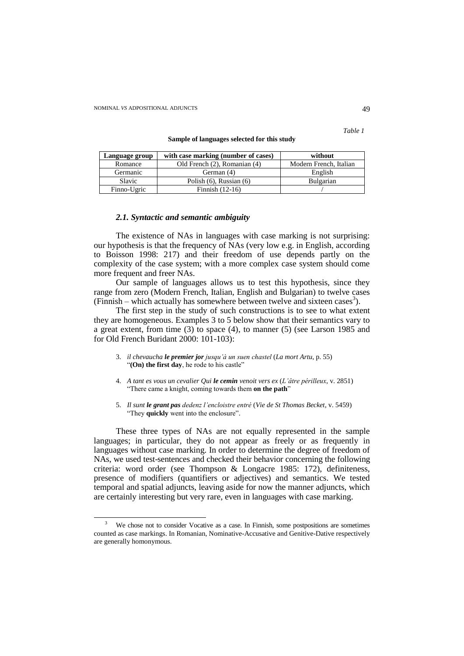$\overline{a}$ 

*Table 1*

| Sample of languages selected for this study |  |  |
|---------------------------------------------|--|--|
|---------------------------------------------|--|--|

| Language group | with case marking (number of cases) | without                |
|----------------|-------------------------------------|------------------------|
| Romance        | Old French (2), Romanian (4)        | Modern French, Italian |
| Germanic       | German (4)                          | English                |
| Slavic         | Polish $(6)$ , Russian $(6)$        | Bulgarian              |
| Finno-Ugric    | Finnish $(12-16)$                   |                        |

# *2.1. Syntactic and semantic ambiguity*

The existence of NAs in languages with case marking is not surprising: our hypothesis is that the frequency of NAs (very low e.g. in English, according to Boisson 1998: 217) and their freedom of use depends partly on the complexity of the case system; with a more complex case system should come more frequent and freer NAs.

Our sample of languages allows us to test this hypothesis, since they range from zero (Modern French, Italian, English and Bulgarian) to twelve cases (Finnish – which actually has somewhere between twelve and sixteen cases<sup>3</sup>).

The first step in the study of such constructions is to see to what extent they are homogeneous. Examples 3 to 5 below show that their semantics vary to a great extent, from time (3) to space (4), to manner (5) (see Larson 1985 and for Old French Buridant 2000: 101-103):

- 3. *il chevaucha le premier jor jusqu"à un suen chastel* (*La mort Artu*, p. 55) "**(On) the first day**, he rode to his castle"
- 4. *A tant es vous un cevalier Qui le cemin venoit vers ex* (*L"âtre périlleux*, v. 2851) "There came a knight, coming towards them **on the path**"
- 5. *Il sunt le grant pas dedenz l"encloistre entré* (*Vie de St Thomas Becket*, v. 5459) "They **quickly** went into the enclosure".

These three types of NAs are not equally represented in the sample languages; in particular, they do not appear as freely or as frequently in languages without case marking. In order to determine the degree of freedom of NAs, we used test-sentences and checked their behavior concerning the following criteria: word order (see Thompson & Longacre 1985: 172), definiteness, presence of modifiers (quantifiers or adjectives) and semantics. We tested temporal and spatial adjuncts, leaving aside for now the manner adjuncts, which are certainly interesting but very rare, even in languages with case marking.

We chose not to consider Vocative as a case. In Finnish, some postpositions are sometimes counted as case markings. In Romanian, Nominative-Accusative and Genitive-Dative respectively are generally homonymous.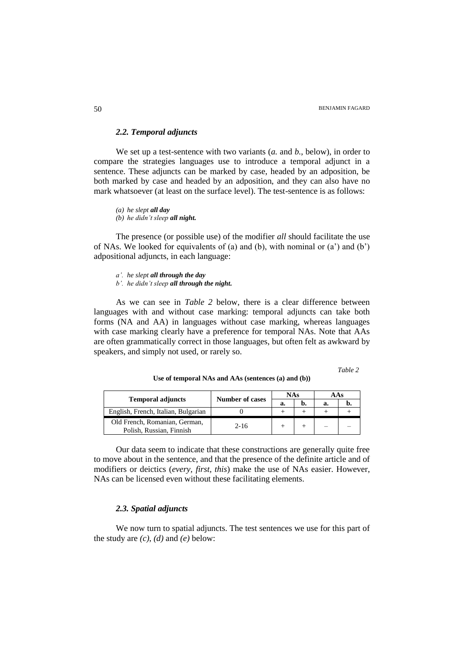## *2.2. Temporal adjuncts*

We set up a test-sentence with two variants (*a.* and *b.*, below), in order to compare the strategies languages use to introduce a temporal adjunct in a sentence. These adjuncts can be marked by case, headed by an adposition, be both marked by case and headed by an adposition, and they can also have no mark whatsoever (at least on the surface level). The test-sentence is as follows:

*(a) he slept all day (b) he didn"t sleep all night.*

The presence (or possible use) of the modifier *all* should facilitate the use of NAs. We looked for equivalents of (a) and (b), with nominal or  $(a')$  and  $(b')$ adpositional adjuncts, in each language:

- *a". he slept all through the day*
- *b". he didn"t sleep all through the night.*

As we can see in *Table 2* below, there is a clear difference between languages with and without case marking: temporal adjuncts can take both forms (NA and AA) in languages without case marking, whereas languages with case marking clearly have a preference for temporal NAs. Note that AAs are often grammatically correct in those languages, but often felt as awkward by speakers, and simply not used, or rarely so.

*Table 2*

|                                                           | <b>Number of cases</b> | <b>NAs</b> |    | AAs |  |
|-----------------------------------------------------------|------------------------|------------|----|-----|--|
| <b>Temporal adjuncts</b>                                  |                        | а.         | n. | а.  |  |
| English, French, Italian, Bulgarian                       |                        |            |    |     |  |
| Old French, Romanian, German,<br>Polish, Russian, Finnish | $2 - 16$               |            |    | -   |  |

**Use of temporal NAs and AAs (sentences (a) and (b))**

Our data seem to indicate that these constructions are generally quite free to move about in the sentence, and that the presence of the definite article and of modifiers or deictics (*every, first, this*) make the use of NAs easier. However, NAs can be licensed even without these facilitating elements.

## *2.3. Spatial adjuncts*

We now turn to spatial adjuncts. The test sentences we use for this part of the study are  $(c)$ ,  $(d)$  and  $(e)$  below: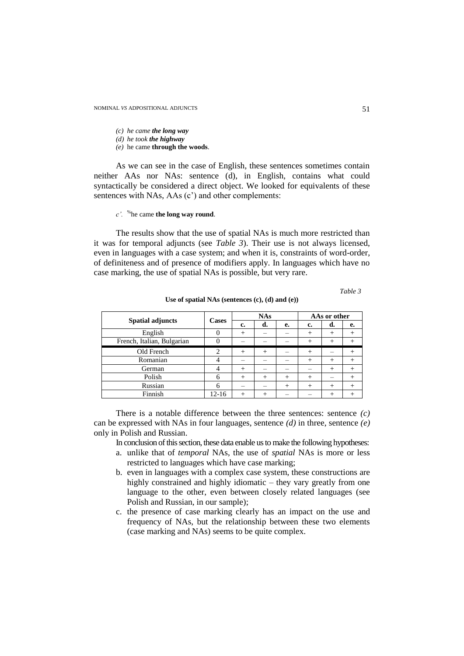#### *(c) he came the long way*

- *(d) he took the highway*
- *(e)* he came **through the woods**.

As we can see in the case of English, these sentences sometimes contain neither AAs nor NAs: sentence (d), in English, contains what could syntactically be considered a direct object. We looked for equivalents of these sentences with NAs, AAs (c') and other complements:

*c".* % he came **the long way round**.

The results show that the use of spatial NAs is much more restricted than it was for temporal adjuncts (see *Table 3*). Their use is not always licensed, even in languages with a case system; and when it is, constraints of word-order, of definiteness and of presence of modifiers apply. In languages which have no case marking, the use of spatial NAs is possible, but very rare.

*Table 3*

| <b>Spatial adjuncts</b>    | Cases     |        | <b>NAs</b> |        |        | AAs or other |                |
|----------------------------|-----------|--------|------------|--------|--------|--------------|----------------|
|                            |           | c.     | d.         | е.     | c.     | d.           | е.             |
| English                    |           | $^{+}$ |            |        | $^{+}$ | $^{+}$       | $^+$           |
| French, Italian, Bulgarian |           |        |            |        | $^{+}$ | $^{+}$       | $^+$           |
| Old French                 | ി         | $^{+}$ | $^{+}$     |        | $^{+}$ |              | $\overline{+}$ |
| Romanian                   |           |        |            |        | $^{+}$ | $^{+}$       | $^{+}$         |
| German                     |           | $^{+}$ |            |        |        | $^{+}$       | $\overline{+}$ |
| Polish                     | 6         | $^{+}$ | $^{+}$     | $^{+}$ | $^{+}$ |              | $^{+}$         |
| Russian                    | 6         |        |            | $^+$   | $^{+}$ | $^{+}$       | $\overline{+}$ |
| Finnish                    | $12 - 16$ | $^{+}$ | $^+$       |        |        | $^{+}$       | $^+$           |

**Use of spatial NAs (sentences (c), (d) and (e))**

There is a notable difference between the three sentences: sentence *(c)* can be expressed with NAs in four languages, sentence *(d)* in three, sentence *(e)* only in Polish and Russian.

In conclusion of this section, these data enable us to make the following hypotheses:

- a. unlike that of *temporal* NAs, the use of *spatial* NAs is more or less restricted to languages which have case marking;
- b. even in languages with a complex case system, these constructions are highly constrained and highly idiomatic – they vary greatly from one language to the other, even between closely related languages (see Polish and Russian, in our sample);
- c. the presence of case marking clearly has an impact on the use and frequency of NAs, but the relationship between these two elements (case marking and NAs) seems to be quite complex.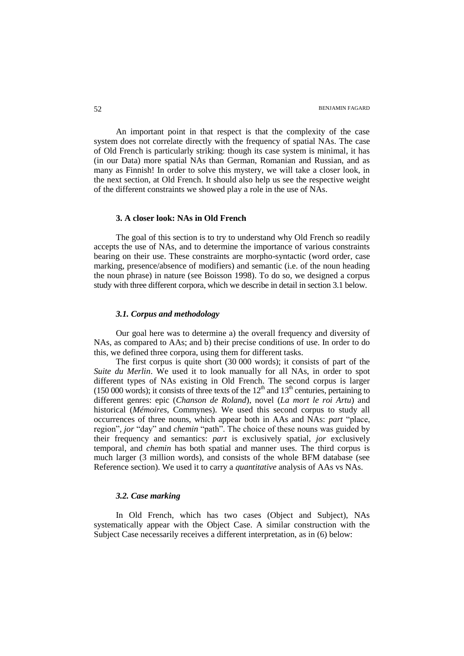An important point in that respect is that the complexity of the case system does not correlate directly with the frequency of spatial NAs. The case of Old French is particularly striking: though its case system is minimal, it has (in our Data) more spatial NAs than German, Romanian and Russian, and as many as Finnish! In order to solve this mystery, we will take a closer look, in the next section, at Old French. It should also help us see the respective weight of the different constraints we showed play a role in the use of NAs.

### **3. A closer look: NAs in Old French**

The goal of this section is to try to understand why Old French so readily accepts the use of NAs, and to determine the importance of various constraints bearing on their use. These constraints are morpho-syntactic (word order, case marking, presence/absence of modifiers) and semantic (i.e. of the noun heading the noun phrase) in nature (see Boisson 1998). To do so, we designed a corpus study with three different corpora, which we describe in detail in section 3.1 below.

## *3.1. Corpus and methodology*

Our goal here was to determine a) the overall frequency and diversity of NAs, as compared to AAs; and b) their precise conditions of use. In order to do this, we defined three corpora, using them for different tasks.

The first corpus is quite short (30 000 words); it consists of part of the *Suite du Merlin*. We used it to look manually for all NAs, in order to spot different types of NAs existing in Old French. The second corpus is larger (150 000 words); it consists of three texts of the  $12<sup>th</sup>$  and  $13<sup>th</sup>$  centuries, pertaining to different genres: epic (*Chanson de Roland*), novel (*La mort le roi Artu*) and historical (*Mémoires*, Commynes). We used this second corpus to study all occurrences of three nouns, which appear both in AAs and NAs: *part* "place, region"*, jor* "day" and *chemin* "path". The choice of these nouns was guided by their frequency and semantics: *part* is exclusively spatial, *jor* exclusively temporal, and *chemin* has both spatial and manner uses. The third corpus is much larger (3 million words), and consists of the whole BFM database (see Reference section). We used it to carry a *quantitative* analysis of AAs vs NAs.

## *3.2. Case marking*

In Old French, which has two cases (Object and Subject), NAs systematically appear with the Object Case. A similar construction with the Subject Case necessarily receives a different interpretation, as in (6) below: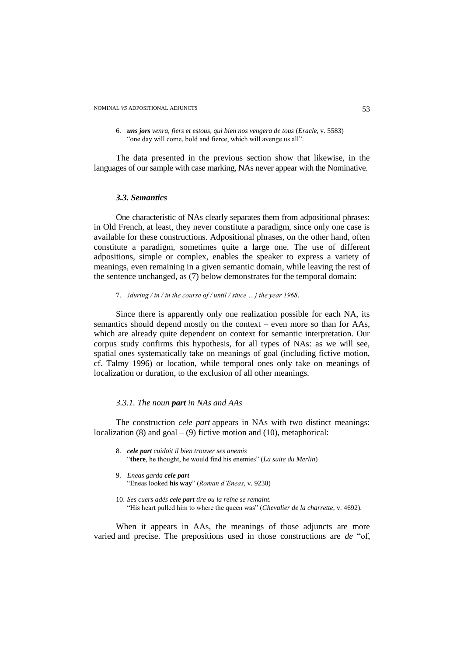6. *uns jors venra, fiers et estous, qui bien nos vengera de tous* (*Eracle*, v. 5583) "one day will come, bold and fierce, which will avenge us all".

The data presented in the previous section show that likewise, in the languages of our sample with case marking, NAs never appear with the Nominative.

#### *3.3. Semantics*

One characteristic of NAs clearly separates them from adpositional phrases: in Old French, at least, they never constitute a paradigm, since only one case is available for these constructions. Adpositional phrases, on the other hand, often constitute a paradigm, sometimes quite a large one. The use of different adpositions, simple or complex, enables the speaker to express a variety of meanings, even remaining in a given semantic domain, while leaving the rest of the sentence unchanged, as (7) below demonstrates for the temporal domain:

7. *{during / in / in the course of / until / since …} the year 1968.*

Since there is apparently only one realization possible for each NA, its semantics should depend mostly on the context – even more so than for AAs, which are already quite dependent on context for semantic interpretation. Our corpus study confirms this hypothesis, for all types of NAs: as we will see, spatial ones systematically take on meanings of goal (including fictive motion, cf. Talmy 1996) or location, while temporal ones only take on meanings of localization or duration, to the exclusion of all other meanings.

## *3.3.1. The noun part in NAs and AAs*

The construction *cele part* appears in NAs with two distinct meanings: localization  $(8)$  and goal –  $(9)$  fictive motion and  $(10)$ , metaphorical:

- 8. *cele part cuidoit il bien trouver ses anemis* "**there**, he thought, he would find his enemies" (*La suite du Merlin*)
- 9. *Eneas garda cele part* "Eneas looked **his way**" (*Roman d"Eneas*, v. 9230)
- 10. *Ses cuers adés cele part tire ou la reïne se remaint.* "His heart pulled him to where the queen was" (*Chevalier de la charrette*, v. 4692).

When it appears in AAs, the meanings of those adjuncts are more varied and precise. The prepositions used in those constructions are *de* "of,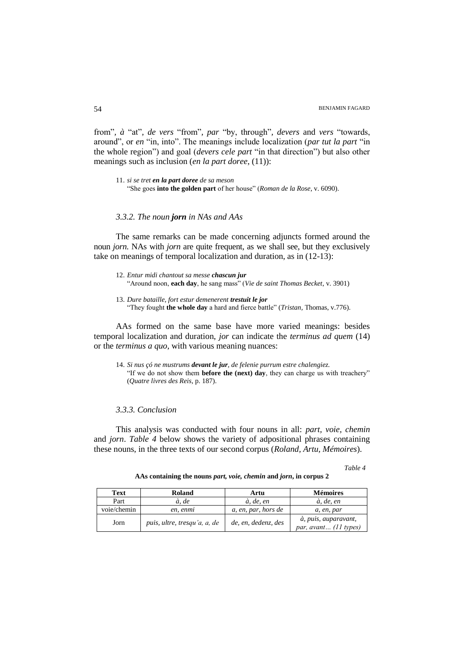from"*, à* "at"*, de vers* "from"*, par* "by, through"*, devers* and *vers* "towards, around", or *en* "in, into". The meanings include localization (*par tut la part* "in the whole region") and goal (*devers cele part* "in that direction") but also other meanings such as inclusion (*en la part doree*, (11)):

11. *si se tret en la part doree de sa meson* "She goes **into the golden part** of her house" (*Roman de la Rose*, v. 6090).

## *3.3.2. The noun jorn in NAs and AAs*

The same remarks can be made concerning adjuncts formed around the noun *jorn*. NAs with *jorn* are quite frequent, as we shall see, but they exclusively take on meanings of temporal localization and duration, as in (12-13):

| 12. Entur midi chantout sa messe <b>chascun jur</b>                         |  |
|-----------------------------------------------------------------------------|--|
| "Around noon, each day, he sang mass" (Vie de saint Thomas Becket, v. 3901) |  |

13. *Dure bataille, fort estur demenerent trestuit le jor* "They fought **the whole day** a hard and fierce battle" (*Tristan,* Thomas, v.776).

AAs formed on the same base have more varied meanings: besides temporal localization and duration, *jor* can indicate the *terminus ad quem* (14) or the *terminus a quo*, with various meaning nuances:

14. *Si nus çó ne mustrums devant le jur, de felenie purrum estre chalengiez.* "If we do not show them **before the (next) day**, they can charge us with treachery" (*Quatre livres des Reis,* p. 187).

## *3.3.3. Conclusion*

This analysis was conducted with four nouns in all: *part, voie, chemin* and *jorn*. *Table 4* below shows the variety of adpositional phrases containing these nouns, in the three texts of our second corpus (*Roland, Artu, Mémoires*).

### *Table 4*

| Text        | Roland                       | Artu                | <b>Mémoires</b>                                 |
|-------------|------------------------------|---------------------|-------------------------------------------------|
| Part        | à. de                        | à, de, en           | à, de, en                                       |
| voie/chemin | en, enmi                     | a, en, par, hors de | a, en, par                                      |
| Jorn        | puis, ultre, tresqu'a, a, de | de, en, dedenz, des | à, puis, auparavant,<br>par, avant $(11$ types) |

**AAs containing the nouns** *part, voie, chemin* **and** *jorn***, in corpus 2**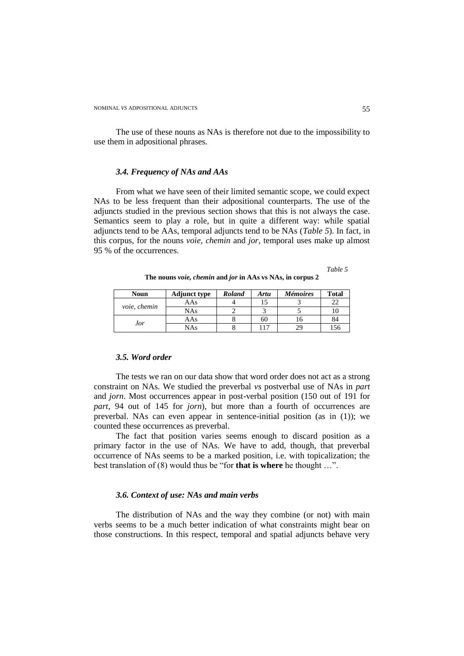The use of these nouns as NAs is therefore not due to the impossibility to use them in adpositional phrases.

### *3.4. Frequency of NAs and AAs*

From what we have seen of their limited semantic scope, we could expect NAs to be less frequent than their adpositional counterparts. The use of the adjuncts studied in the previous section shows that this is not always the case. Semantics seem to play a role, but in quite a different way: while spatial adjuncts tend to be AAs, temporal adjuncts tend to be NAs (*Table 5*). In fact, in this corpus, for the nouns *voie, chemin* and *jor*, temporal uses make up almost 95 % of the occurrences.

*Table 5*

**The nouns** *voie, chemin* **and** *jor* **in AAs vs NAs, in corpus 2**

| <b>Noun</b>  | <b>Adjunct type</b> | <b>Roland</b> | <b>Artu</b> | <b>Mémoires</b> | <b>Total</b> |
|--------------|---------------------|---------------|-------------|-----------------|--------------|
| voie, chemin | AAs                 |               |             |                 | 22           |
|              | NAs                 |               |             |                 | 10           |
| Jor          | AAs                 |               | 60          |                 | 84           |
|              | NAs.                |               | 17          |                 | .56          |

## *3.5. Word order*

The tests we ran on our data show that word order does not act as a strong constraint on NAs. We studied the preverbal *vs* postverbal use of NAs in *part* and *jorn*. Most occurrences appear in post-verbal position (150 out of 191 for *part*, 94 out of 145 for *jorn*), but more than a fourth of occurrences are preverbal. NAs can even appear in sentence-initial position (as in (1)); we counted these occurrences as preverbal.

The fact that position varies seems enough to discard position as a primary factor in the use of NAs. We have to add, though, that preverbal occurrence of NAs seems to be a marked position, i.e. with topicalization; the best translation of (8) would thus be "for **that is where** he thought …".

#### *3.6. Context of use: NAs and main verbs*

The distribution of NAs and the way they combine (or not) with main verbs seems to be a much better indication of what constraints might bear on those constructions. In this respect, temporal and spatial adjuncts behave very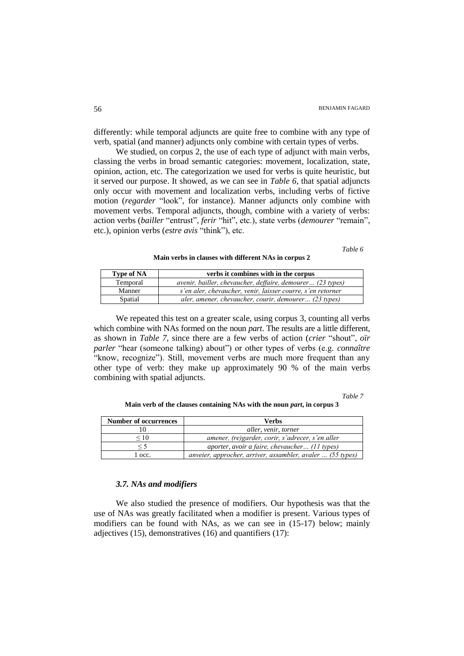differently: while temporal adjuncts are quite free to combine with any type of verb, spatial (and manner) adjuncts only combine with certain types of verbs.

We studied, on corpus 2, the use of each type of adjunct with main verbs, classing the verbs in broad semantic categories: movement, localization, state, opinion, action, etc. The categorization we used for verbs is quite heuristic, but it served our purpose. It showed, as we can see in *Table 6*, that spatial adjuncts only occur with movement and localization verbs, including verbs of fictive motion (*regarder* "look", for instance). Manner adjuncts only combine with movement verbs. Temporal adjuncts, though, combine with a variety of verbs: action verbs (*bailler* "entrust", *ferir* "hit", etc.), state verbs (*demourer* "remain", etc.), opinion verbs (*estre avis* "think"), etc.

*Table 6*

**Main verbs in clauses with different NAs in corpus 2**

| <b>Type of NA</b> | verbs it combines with in the corpus                        |
|-------------------|-------------------------------------------------------------|
| Temporal          | avenir, bailler, chevaucher, deffaire, demourer (23 types)  |
| Manner            | s'en aler, chevaucher, venir, laisser courre, s'en retorner |
| Spatial           | aler, amener, chevaucher, courir, demourer (23 types)       |

We repeated this test on a greater scale, using corpus 3, counting all verbs which combine with NAs formed on the noun *part*. The results are a little different, as shown in *Table 7*, since there are a few verbs of action (*crier* "shout", *oïr parler* "hear (someone talking) about") or other types of verbs (e.g. *connaître*  "know, recognize"). Still, movement verbs are much more frequent than any other type of verb: they make up approximately 90 % of the main verbs combining with spatial adjuncts.

*Table 7*

**Main verb of the clauses containing NAs with the noun** *part***, in corpus 3**

| <b>Number of occurrences</b> | Verbs                                                      |
|------------------------------|------------------------------------------------------------|
|                              | aller, venir, torner                                       |
| $\leq 10$                    | amener, (re)garder, corir, s'adrecer, s'en aller           |
|                              | aporter, avoir a faire, chevaucher (11 types)              |
| l occ.                       | anveier, approcher, arriver, assambler, avaler  (55 types) |

#### *3.7. NAs and modifiers*

We also studied the presence of modifiers. Our hypothesis was that the use of NAs was greatly facilitated when a modifier is present. Various types of modifiers can be found with NAs, as we can see in (15-17) below; mainly adjectives (15), demonstratives (16) and quantifiers (17):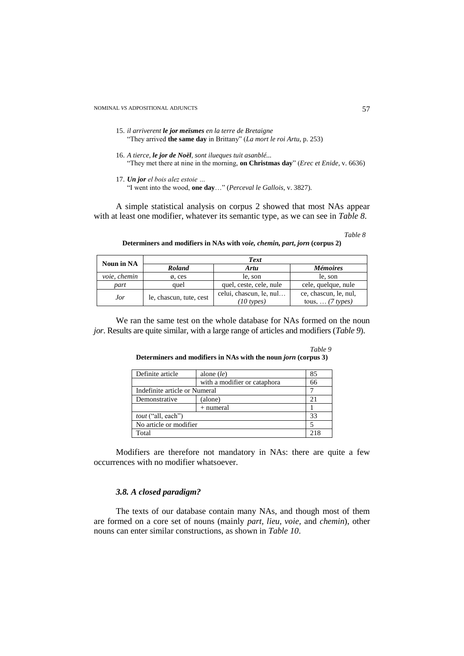- 15. *il arriverent le jor meïsmes en la terre de Bretaigne* "They arrived **the same day** in Brittany" (*La mort le roi Artu*, p. 253)
- 16. *A tierce, le jor de Noël, sont ilueques tuit asanblé...* "They met there at nine in the morning, **on Christmas day**" (*Erec et Enide,* v. 6636)
- 17. *Un jor el bois alez estoie …* "I went into the wood, **one day**…" (*Perceval le Gallois*, v. 3827).

A simple statistical analysis on corpus 2 showed that most NAs appear with at least one modifier, whatever its semantic type, as we can see in *Table 8*.

*Table 8*

*Table 9*

**Determiners and modifiers in NAs with** *voie, chemin, part***,** *jorn* **(corpus 2)**

| Noun in NA    | Text                    |                                                 |                                                   |  |  |
|---------------|-------------------------|-------------------------------------------------|---------------------------------------------------|--|--|
| <b>Roland</b> |                         | Artu                                            | <i>Mémoires</i>                                   |  |  |
| voie, chemin  | $\emptyset$ , ces       | le, son                                         | le, son                                           |  |  |
| part          | auel                    | quel, ceste, cele, nule                         | cele, quelque, nule                               |  |  |
| Jor           | le, chascun, tute, cest | celui, chascun, le, nul<br>$(10 \text{ types})$ | ce, chascun, le, nul,<br>tous, $\ldots$ (7 types) |  |  |

We ran the same test on the whole database for NAs formed on the noun *jor*. Results are quite similar, with a large range of articles and modifiers (*Table 9*).

Definite article alone (*le*) 85 with a modifier or cataphora 66<br>umeral 7 Indefinite article or Numeral 7<br>Demonstrative (alone) 21 Demonstrative (alone)  $+$  numeral  $1$ *tout* ("all, each") 33 No article or modifier 5 Total 218

**Determiners and modifiers in NAs with the noun** *jorn* **(corpus 3)**

Modifiers are therefore not mandatory in NAs: there are quite a few occurrences with no modifier whatsoever.

# *3.8. A closed paradigm?*

The texts of our database contain many NAs, and though most of them are formed on a core set of nouns (mainly *part, lieu, voie,* and *chemin*), other nouns can enter similar constructions, as shown in *Table 10*.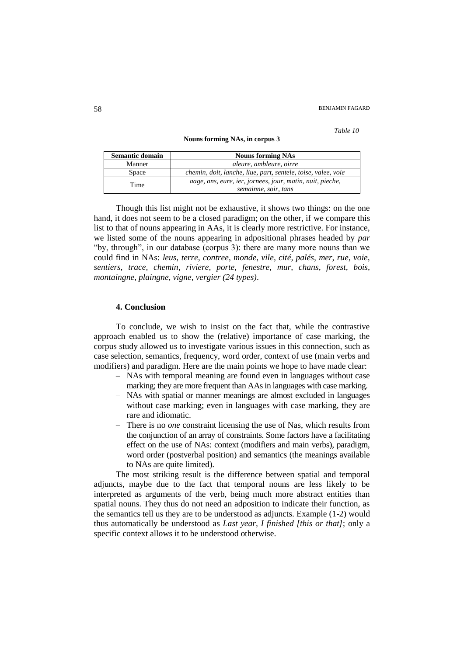#### *Table 10*

#### **Nouns forming NAs, in corpus 3**

| Semantic domain | <b>Nouns forming NAs</b>                                      |  |  |  |
|-----------------|---------------------------------------------------------------|--|--|--|
| Manner          | aleure, ambleure, oirre                                       |  |  |  |
| Space           | chemin, doit, lanche, liue, part, sentele, toise, valee, voie |  |  |  |
| Time            | aage, ans, eure, ier, jornees, jour, matin, nuit, pieche,     |  |  |  |
|                 | semainne, soir, tans                                          |  |  |  |

Though this list might not be exhaustive, it shows two things: on the one hand, it does not seem to be a closed paradigm; on the other, if we compare this list to that of nouns appearing in AAs, it is clearly more restrictive. For instance, we listed some of the nouns appearing in adpositional phrases headed by *par* "by, through", in our database (corpus 3): there are many more nouns than we could find in NAs: *leus, terre, contree, monde, vile, cité, palés, mer, rue, voie, sentiers, trace, chemin, riviere, porte, fenestre, mur, chans, forest, bois, montaingne, plaingne, vigne, vergier (24 types)*.

## **4. Conclusion**

To conclude, we wish to insist on the fact that, while the contrastive approach enabled us to show the (relative) importance of case marking, the corpus study allowed us to investigate various issues in this connection, such as case selection, semantics, frequency, word order, context of use (main verbs and modifiers) and paradigm. Here are the main points we hope to have made clear:

- NAs with temporal meaning are found even in languages without case marking; they are more frequent than AAs in languages with case marking.
- NAs with spatial or manner meanings are almost excluded in languages without case marking; even in languages with case marking, they are rare and idiomatic.
- There is no *one* constraint licensing the use of Nas, which results from the conjunction of an array of constraints. Some factors have a facilitating effect on the use of NAs: context (modifiers and main verbs), paradigm, word order (postverbal position) and semantics (the meanings available to NAs are quite limited).

The most striking result is the difference between spatial and temporal adjuncts, maybe due to the fact that temporal nouns are less likely to be interpreted as arguments of the verb, being much more abstract entities than spatial nouns. They thus do not need an adposition to indicate their function, as the semantics tell us they are to be understood as adjuncts. Example (1-2) would thus automatically be understood as *Last year, I finished [this or that]*; only a specific context allows it to be understood otherwise.